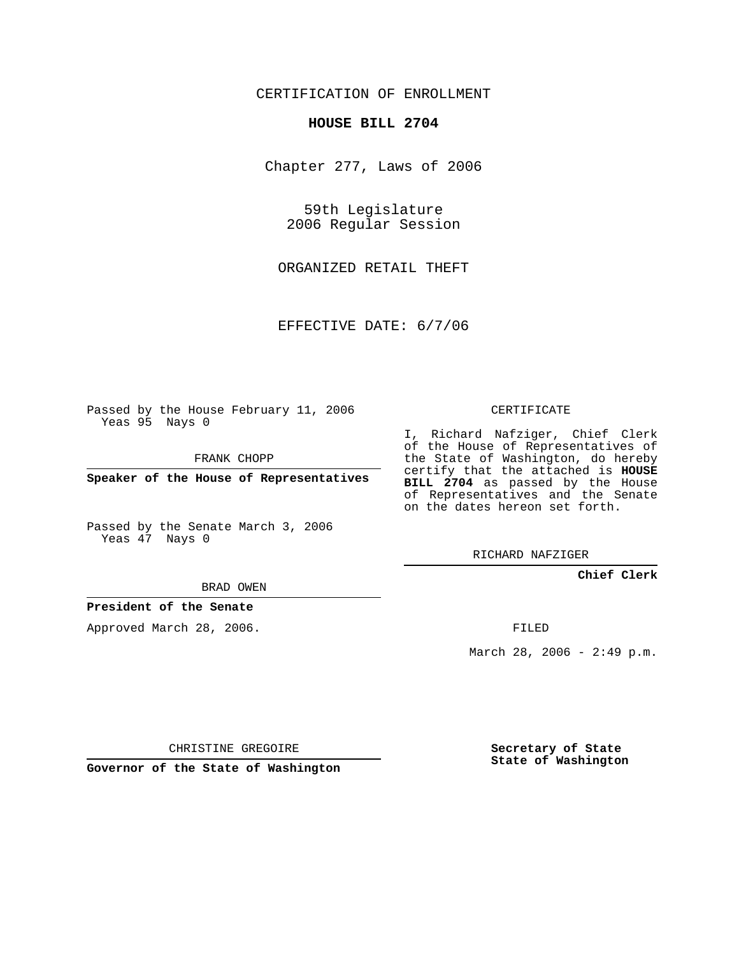### CERTIFICATION OF ENROLLMENT

#### **HOUSE BILL 2704**

Chapter 277, Laws of 2006

59th Legislature 2006 Regular Session

ORGANIZED RETAIL THEFT

EFFECTIVE DATE: 6/7/06

Passed by the House February 11, 2006 Yeas 95 Nays 0

FRANK CHOPP

**Speaker of the House of Representatives**

Passed by the Senate March 3, 2006 Yeas 47 Nays 0

# I, Richard Nafziger, Chief Clerk

of the House of Representatives of the State of Washington, do hereby certify that the attached is **HOUSE BILL 2704** as passed by the House of Representatives and the Senate on the dates hereon set forth.

CERTIFICATE

RICHARD NAFZIGER

#### **Chief Clerk**

BRAD OWEN

#### **President of the Senate**

Approved March 28, 2006.

FILED

March 28, 2006 -  $2:49$  p.m.

CHRISTINE GREGOIRE

**Governor of the State of Washington**

**Secretary of State State of Washington**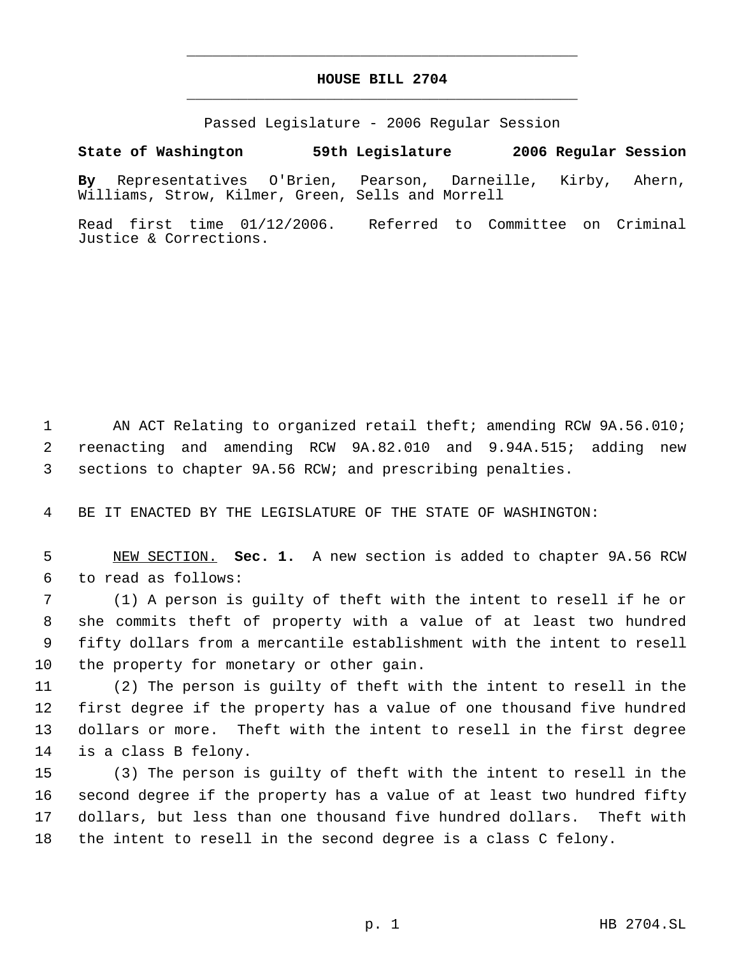## **HOUSE BILL 2704** \_\_\_\_\_\_\_\_\_\_\_\_\_\_\_\_\_\_\_\_\_\_\_\_\_\_\_\_\_\_\_\_\_\_\_\_\_\_\_\_\_\_\_\_\_

\_\_\_\_\_\_\_\_\_\_\_\_\_\_\_\_\_\_\_\_\_\_\_\_\_\_\_\_\_\_\_\_\_\_\_\_\_\_\_\_\_\_\_\_\_

Passed Legislature - 2006 Regular Session

### **State of Washington 59th Legislature 2006 Regular Session**

**By** Representatives O'Brien, Pearson, Darneille, Kirby, Ahern, Williams, Strow, Kilmer, Green, Sells and Morrell

Read first time 01/12/2006. Referred to Committee on Criminal Justice & Corrections.

 AN ACT Relating to organized retail theft; amending RCW 9A.56.010; reenacting and amending RCW 9A.82.010 and 9.94A.515; adding new sections to chapter 9A.56 RCW; and prescribing penalties.

BE IT ENACTED BY THE LEGISLATURE OF THE STATE OF WASHINGTON:

 NEW SECTION. **Sec. 1.** A new section is added to chapter 9A.56 RCW to read as follows:

 (1) A person is guilty of theft with the intent to resell if he or she commits theft of property with a value of at least two hundred fifty dollars from a mercantile establishment with the intent to resell the property for monetary or other gain.

 (2) The person is guilty of theft with the intent to resell in the first degree if the property has a value of one thousand five hundred dollars or more. Theft with the intent to resell in the first degree is a class B felony.

 (3) The person is guilty of theft with the intent to resell in the second degree if the property has a value of at least two hundred fifty dollars, but less than one thousand five hundred dollars. Theft with the intent to resell in the second degree is a class C felony.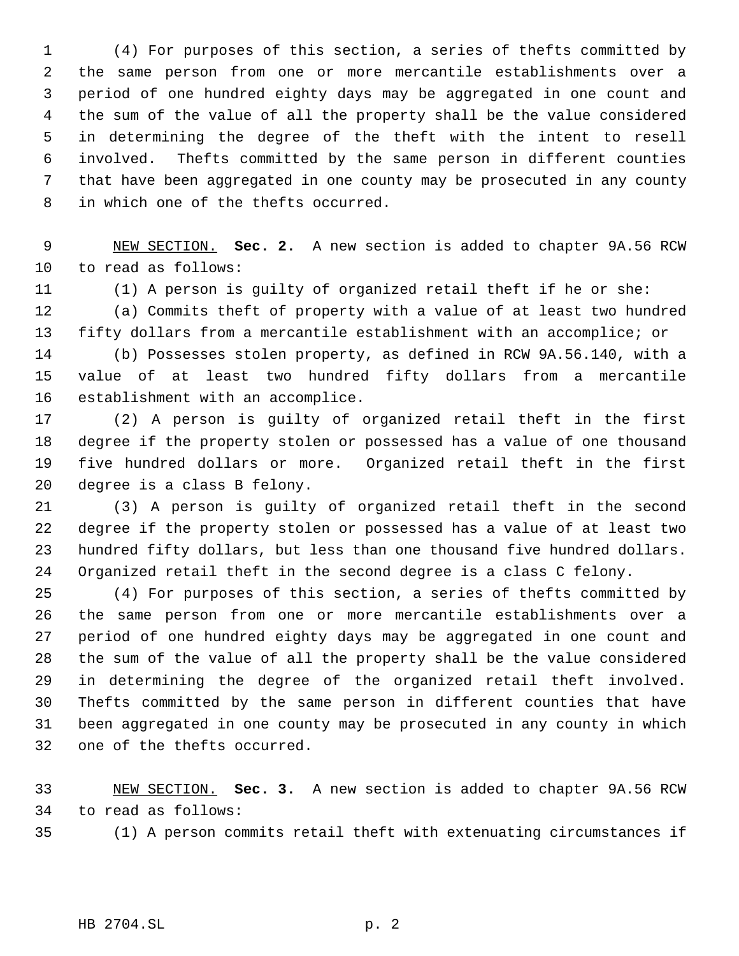(4) For purposes of this section, a series of thefts committed by the same person from one or more mercantile establishments over a period of one hundred eighty days may be aggregated in one count and the sum of the value of all the property shall be the value considered in determining the degree of the theft with the intent to resell involved. Thefts committed by the same person in different counties that have been aggregated in one county may be prosecuted in any county in which one of the thefts occurred.

 NEW SECTION. **Sec. 2.** A new section is added to chapter 9A.56 RCW to read as follows:

(1) A person is guilty of organized retail theft if he or she:

 (a) Commits theft of property with a value of at least two hundred fifty dollars from a mercantile establishment with an accomplice; or

 (b) Possesses stolen property, as defined in RCW 9A.56.140, with a value of at least two hundred fifty dollars from a mercantile establishment with an accomplice.

 (2) A person is guilty of organized retail theft in the first degree if the property stolen or possessed has a value of one thousand five hundred dollars or more. Organized retail theft in the first degree is a class B felony.

 (3) A person is guilty of organized retail theft in the second degree if the property stolen or possessed has a value of at least two hundred fifty dollars, but less than one thousand five hundred dollars. Organized retail theft in the second degree is a class C felony.

 (4) For purposes of this section, a series of thefts committed by the same person from one or more mercantile establishments over a period of one hundred eighty days may be aggregated in one count and the sum of the value of all the property shall be the value considered in determining the degree of the organized retail theft involved. Thefts committed by the same person in different counties that have been aggregated in one county may be prosecuted in any county in which one of the thefts occurred.

 NEW SECTION. **Sec. 3.** A new section is added to chapter 9A.56 RCW to read as follows:

(1) A person commits retail theft with extenuating circumstances if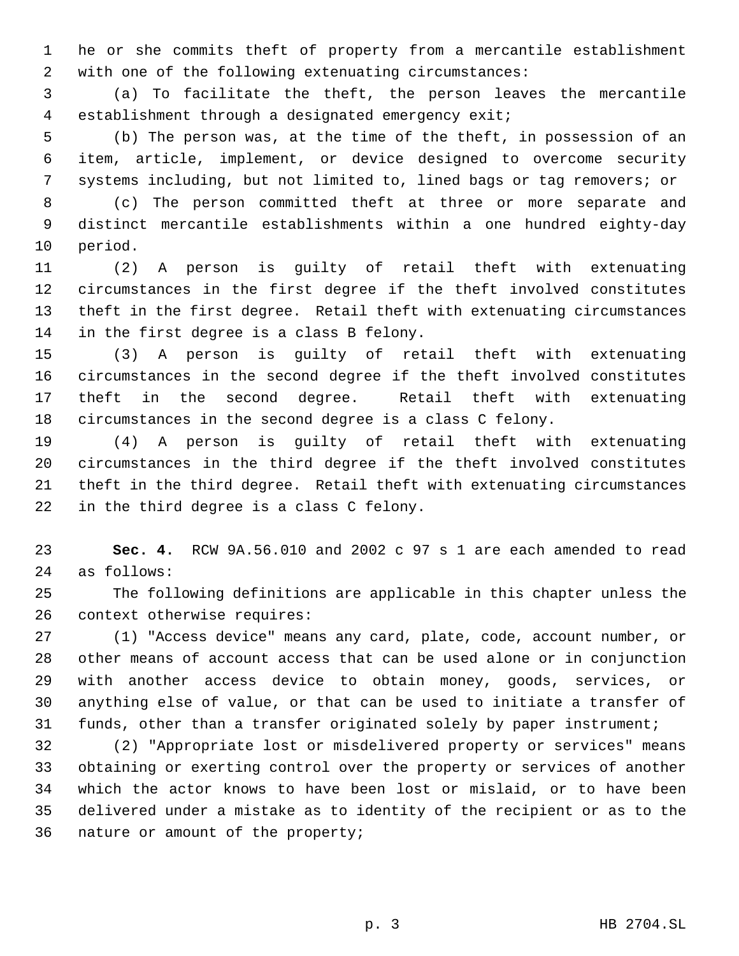he or she commits theft of property from a mercantile establishment with one of the following extenuating circumstances:

 (a) To facilitate the theft, the person leaves the mercantile establishment through a designated emergency exit;

 (b) The person was, at the time of the theft, in possession of an item, article, implement, or device designed to overcome security systems including, but not limited to, lined bags or tag removers; or

 (c) The person committed theft at three or more separate and distinct mercantile establishments within a one hundred eighty-day period.

 (2) A person is guilty of retail theft with extenuating circumstances in the first degree if the theft involved constitutes theft in the first degree. Retail theft with extenuating circumstances in the first degree is a class B felony.

 (3) A person is guilty of retail theft with extenuating circumstances in the second degree if the theft involved constitutes theft in the second degree. Retail theft with extenuating circumstances in the second degree is a class C felony.

 (4) A person is guilty of retail theft with extenuating circumstances in the third degree if the theft involved constitutes theft in the third degree. Retail theft with extenuating circumstances in the third degree is a class C felony.

 **Sec. 4.** RCW 9A.56.010 and 2002 c 97 s 1 are each amended to read as follows:

 The following definitions are applicable in this chapter unless the context otherwise requires:

 (1) "Access device" means any card, plate, code, account number, or other means of account access that can be used alone or in conjunction with another access device to obtain money, goods, services, or anything else of value, or that can be used to initiate a transfer of funds, other than a transfer originated solely by paper instrument;

 (2) "Appropriate lost or misdelivered property or services" means obtaining or exerting control over the property or services of another which the actor knows to have been lost or mislaid, or to have been delivered under a mistake as to identity of the recipient or as to the nature or amount of the property;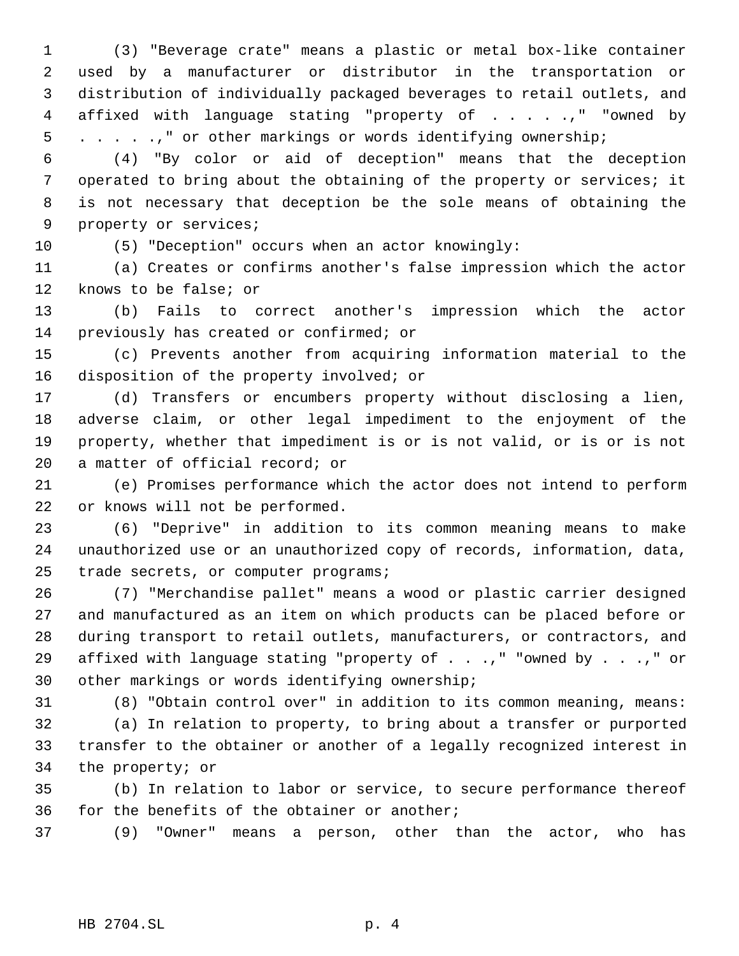(3) "Beverage crate" means a plastic or metal box-like container used by a manufacturer or distributor in the transportation or distribution of individually packaged beverages to retail outlets, and affixed with language stating "property of . . . . .," "owned by . . . . .," or other markings or words identifying ownership;

 (4) "By color or aid of deception" means that the deception operated to bring about the obtaining of the property or services; it is not necessary that deception be the sole means of obtaining the property or services;

(5) "Deception" occurs when an actor knowingly:

 (a) Creates or confirms another's false impression which the actor knows to be false; or

 (b) Fails to correct another's impression which the actor previously has created or confirmed; or

 (c) Prevents another from acquiring information material to the 16 disposition of the property involved; or

 (d) Transfers or encumbers property without disclosing a lien, adverse claim, or other legal impediment to the enjoyment of the property, whether that impediment is or is not valid, or is or is not a matter of official record; or

 (e) Promises performance which the actor does not intend to perform or knows will not be performed.

 (6) "Deprive" in addition to its common meaning means to make unauthorized use or an unauthorized copy of records, information, data, trade secrets, or computer programs;

 (7) "Merchandise pallet" means a wood or plastic carrier designed and manufactured as an item on which products can be placed before or during transport to retail outlets, manufacturers, or contractors, and 29 affixed with language stating "property of . . .," "owned by . . .," or other markings or words identifying ownership;

 (8) "Obtain control over" in addition to its common meaning, means: (a) In relation to property, to bring about a transfer or purported

 transfer to the obtainer or another of a legally recognized interest in the property; or

 (b) In relation to labor or service, to secure performance thereof for the benefits of the obtainer or another;

(9) "Owner" means a person, other than the actor, who has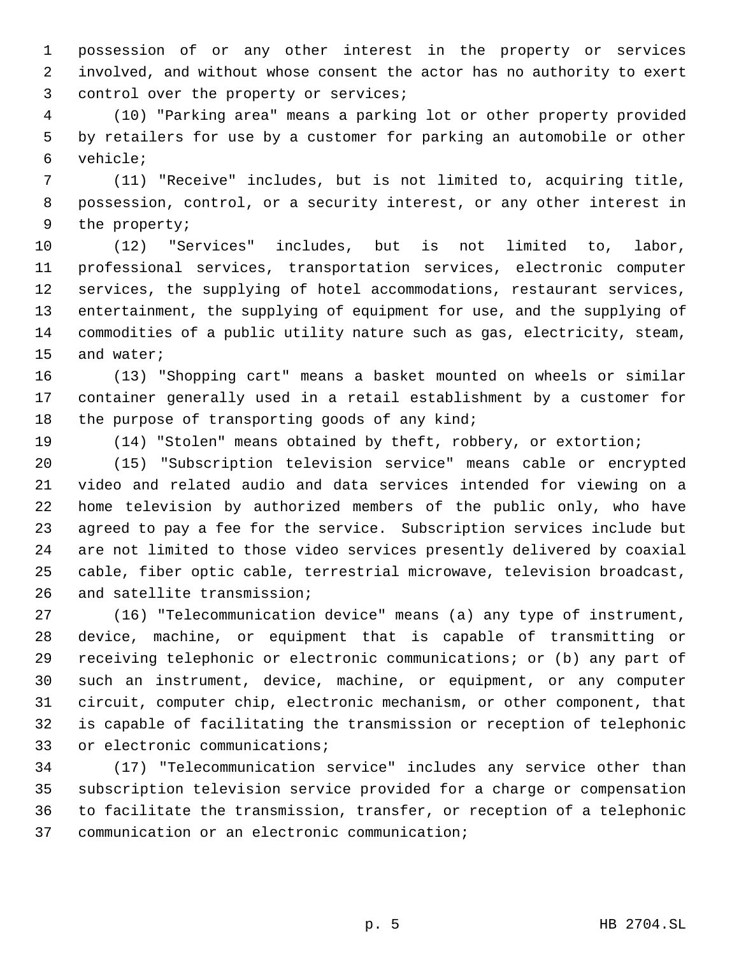possession of or any other interest in the property or services involved, and without whose consent the actor has no authority to exert 3 control over the property or services;

 (10) "Parking area" means a parking lot or other property provided by retailers for use by a customer for parking an automobile or other vehicle;

 (11) "Receive" includes, but is not limited to, acquiring title, possession, control, or a security interest, or any other interest in the property;

 (12) "Services" includes, but is not limited to, labor, professional services, transportation services, electronic computer services, the supplying of hotel accommodations, restaurant services, entertainment, the supplying of equipment for use, and the supplying of commodities of a public utility nature such as gas, electricity, steam, and water;

 (13) "Shopping cart" means a basket mounted on wheels or similar container generally used in a retail establishment by a customer for 18 the purpose of transporting goods of any kind;

(14) "Stolen" means obtained by theft, robbery, or extortion;

 (15) "Subscription television service" means cable or encrypted video and related audio and data services intended for viewing on a home television by authorized members of the public only, who have agreed to pay a fee for the service. Subscription services include but are not limited to those video services presently delivered by coaxial cable, fiber optic cable, terrestrial microwave, television broadcast, and satellite transmission;

 (16) "Telecommunication device" means (a) any type of instrument, device, machine, or equipment that is capable of transmitting or receiving telephonic or electronic communications; or (b) any part of such an instrument, device, machine, or equipment, or any computer circuit, computer chip, electronic mechanism, or other component, that is capable of facilitating the transmission or reception of telephonic or electronic communications;

 (17) "Telecommunication service" includes any service other than subscription television service provided for a charge or compensation to facilitate the transmission, transfer, or reception of a telephonic communication or an electronic communication;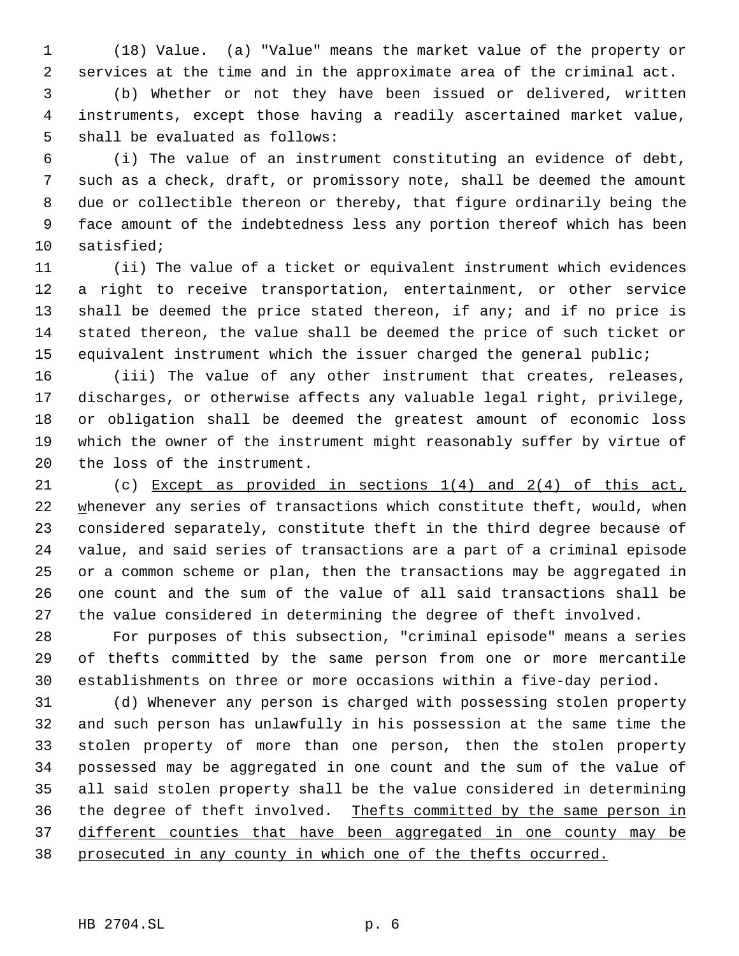(18) Value. (a) "Value" means the market value of the property or services at the time and in the approximate area of the criminal act.

 (b) Whether or not they have been issued or delivered, written instruments, except those having a readily ascertained market value, shall be evaluated as follows:

 (i) The value of an instrument constituting an evidence of debt, such as a check, draft, or promissory note, shall be deemed the amount due or collectible thereon or thereby, that figure ordinarily being the face amount of the indebtedness less any portion thereof which has been satisfied;

 (ii) The value of a ticket or equivalent instrument which evidences a right to receive transportation, entertainment, or other service 13 shall be deemed the price stated thereon, if any; and if no price is stated thereon, the value shall be deemed the price of such ticket or equivalent instrument which the issuer charged the general public;

 (iii) The value of any other instrument that creates, releases, discharges, or otherwise affects any valuable legal right, privilege, or obligation shall be deemed the greatest amount of economic loss which the owner of the instrument might reasonably suffer by virtue of the loss of the instrument.

 (c) Except as provided in sections 1(4) and 2(4) of this act, 22 whenever any series of transactions which constitute theft, would, when considered separately, constitute theft in the third degree because of value, and said series of transactions are a part of a criminal episode or a common scheme or plan, then the transactions may be aggregated in one count and the sum of the value of all said transactions shall be the value considered in determining the degree of theft involved.

 For purposes of this subsection, "criminal episode" means a series of thefts committed by the same person from one or more mercantile establishments on three or more occasions within a five-day period.

 (d) Whenever any person is charged with possessing stolen property and such person has unlawfully in his possession at the same time the stolen property of more than one person, then the stolen property possessed may be aggregated in one count and the sum of the value of all said stolen property shall be the value considered in determining 36 the degree of theft involved. Thefts committed by the same person in different counties that have been aggregated in one county may be prosecuted in any county in which one of the thefts occurred.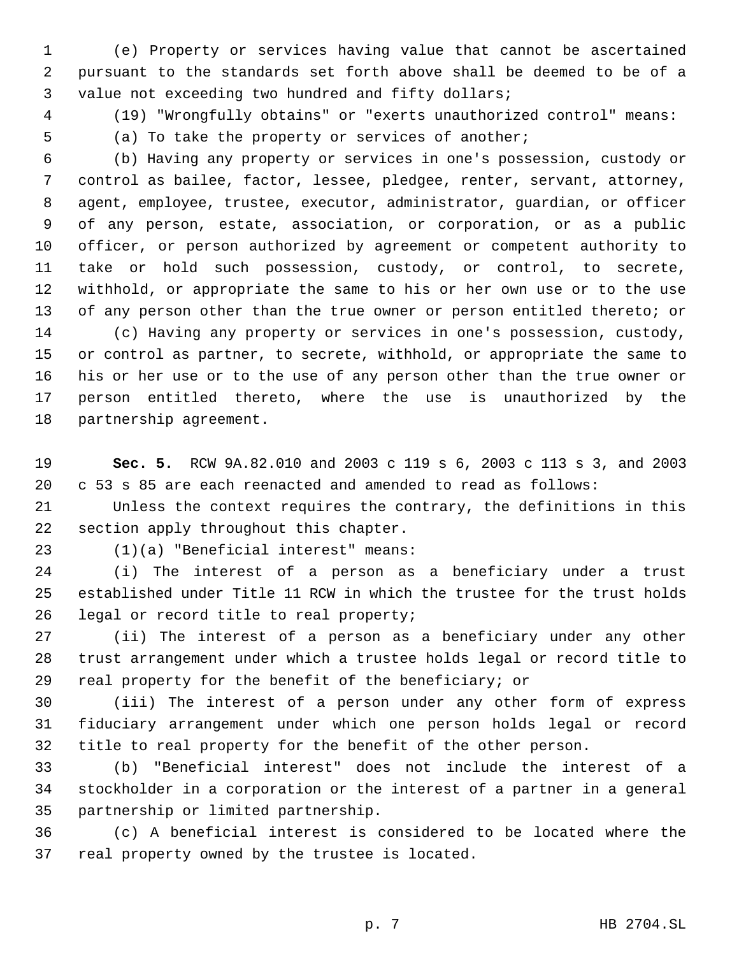(e) Property or services having value that cannot be ascertained pursuant to the standards set forth above shall be deemed to be of a value not exceeding two hundred and fifty dollars;

(19) "Wrongfully obtains" or "exerts unauthorized control" means:

(a) To take the property or services of another;

 (b) Having any property or services in one's possession, custody or control as bailee, factor, lessee, pledgee, renter, servant, attorney, agent, employee, trustee, executor, administrator, guardian, or officer of any person, estate, association, or corporation, or as a public officer, or person authorized by agreement or competent authority to take or hold such possession, custody, or control, to secrete, withhold, or appropriate the same to his or her own use or to the use of any person other than the true owner or person entitled thereto; or (c) Having any property or services in one's possession, custody, or control as partner, to secrete, withhold, or appropriate the same to his or her use or to the use of any person other than the true owner or person entitled thereto, where the use is unauthorized by the partnership agreement.

 **Sec. 5.** RCW 9A.82.010 and 2003 c 119 s 6, 2003 c 113 s 3, and 2003 c 53 s 85 are each reenacted and amended to read as follows:

 Unless the context requires the contrary, the definitions in this section apply throughout this chapter.

(1)(a) "Beneficial interest" means:

 (i) The interest of a person as a beneficiary under a trust established under Title 11 RCW in which the trustee for the trust holds legal or record title to real property;

 (ii) The interest of a person as a beneficiary under any other trust arrangement under which a trustee holds legal or record title to real property for the benefit of the beneficiary; or

 (iii) The interest of a person under any other form of express fiduciary arrangement under which one person holds legal or record title to real property for the benefit of the other person.

 (b) "Beneficial interest" does not include the interest of a stockholder in a corporation or the interest of a partner in a general partnership or limited partnership.

 (c) A beneficial interest is considered to be located where the real property owned by the trustee is located.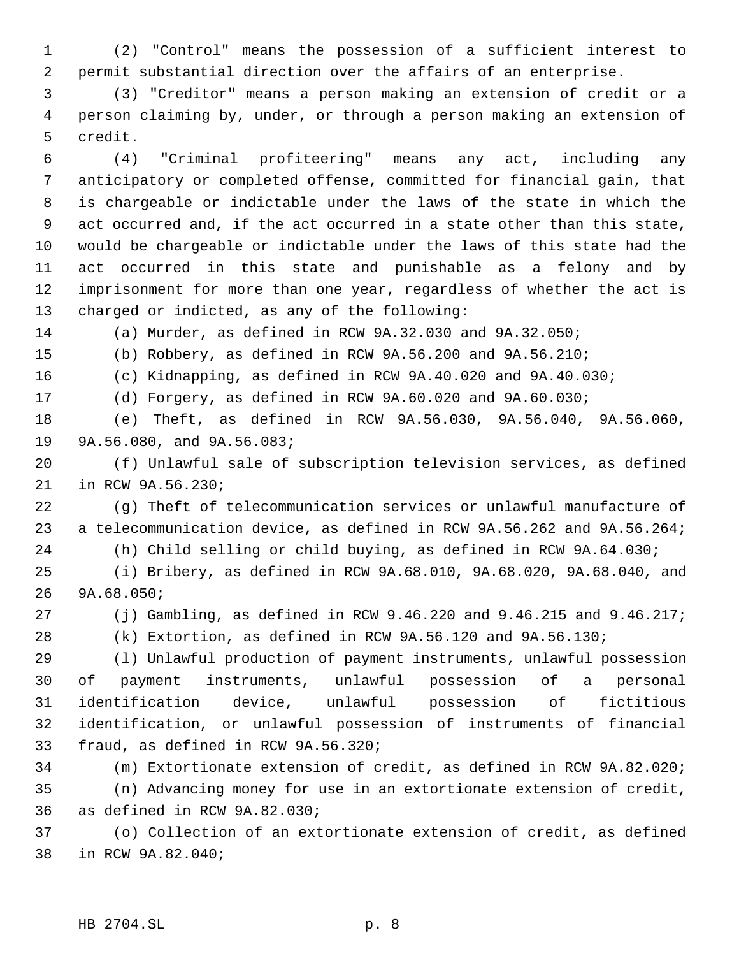(2) "Control" means the possession of a sufficient interest to permit substantial direction over the affairs of an enterprise.

 (3) "Creditor" means a person making an extension of credit or a person claiming by, under, or through a person making an extension of credit.

 (4) "Criminal profiteering" means any act, including any anticipatory or completed offense, committed for financial gain, that is chargeable or indictable under the laws of the state in which the act occurred and, if the act occurred in a state other than this state, would be chargeable or indictable under the laws of this state had the act occurred in this state and punishable as a felony and by imprisonment for more than one year, regardless of whether the act is charged or indicted, as any of the following:

(a) Murder, as defined in RCW 9A.32.030 and 9A.32.050;

(b) Robbery, as defined in RCW 9A.56.200 and 9A.56.210;

(c) Kidnapping, as defined in RCW 9A.40.020 and 9A.40.030;

(d) Forgery, as defined in RCW 9A.60.020 and 9A.60.030;

 (e) Theft, as defined in RCW 9A.56.030, 9A.56.040, 9A.56.060, 9A.56.080, and 9A.56.083;

 (f) Unlawful sale of subscription television services, as defined in RCW 9A.56.230;

 (g) Theft of telecommunication services or unlawful manufacture of a telecommunication device, as defined in RCW 9A.56.262 and 9A.56.264;

(h) Child selling or child buying, as defined in RCW 9A.64.030;

 (i) Bribery, as defined in RCW 9A.68.010, 9A.68.020, 9A.68.040, and 9A.68.050;

(j) Gambling, as defined in RCW 9.46.220 and 9.46.215 and 9.46.217;

(k) Extortion, as defined in RCW 9A.56.120 and 9A.56.130;

 (l) Unlawful production of payment instruments, unlawful possession of payment instruments, unlawful possession of a personal identification device, unlawful possession of fictitious identification, or unlawful possession of instruments of financial fraud, as defined in RCW 9A.56.320;

 (m) Extortionate extension of credit, as defined in RCW 9A.82.020; (n) Advancing money for use in an extortionate extension of credit, as defined in RCW 9A.82.030;

 (o) Collection of an extortionate extension of credit, as defined in RCW 9A.82.040;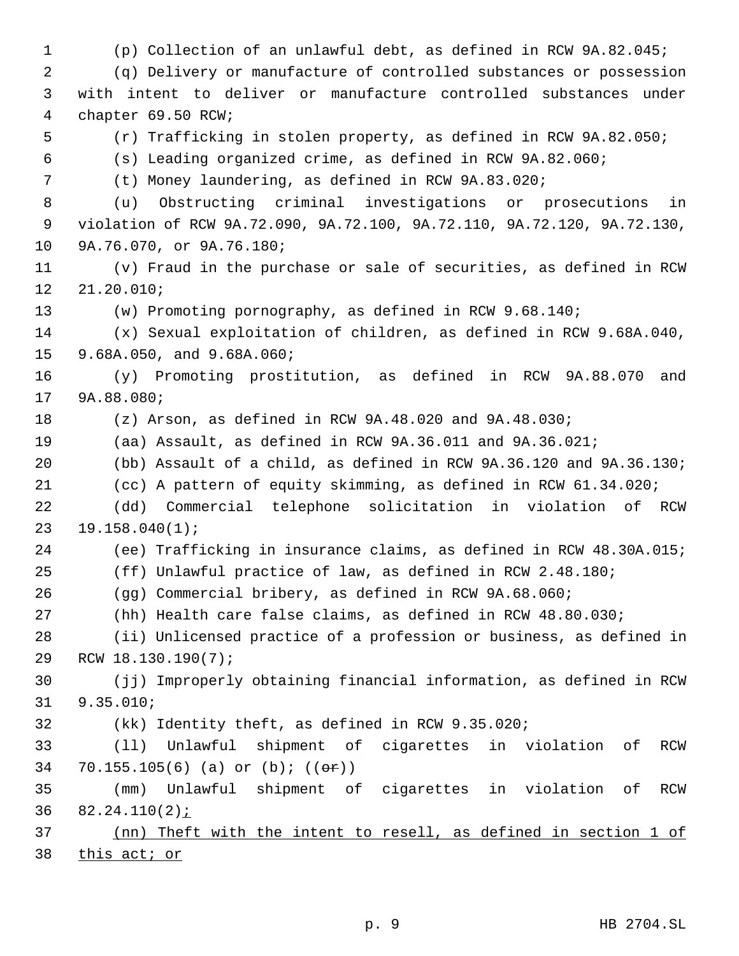(p) Collection of an unlawful debt, as defined in RCW 9A.82.045; (q) Delivery or manufacture of controlled substances or possession with intent to deliver or manufacture controlled substances under chapter 69.50 RCW; (r) Trafficking in stolen property, as defined in RCW 9A.82.050; (s) Leading organized crime, as defined in RCW 9A.82.060; (t) Money laundering, as defined in RCW 9A.83.020; (u) Obstructing criminal investigations or prosecutions in violation of RCW 9A.72.090, 9A.72.100, 9A.72.110, 9A.72.120, 9A.72.130, 9A.76.070, or 9A.76.180; (v) Fraud in the purchase or sale of securities, as defined in RCW 21.20.010; (w) Promoting pornography, as defined in RCW 9.68.140; (x) Sexual exploitation of children, as defined in RCW 9.68A.040, 9.68A.050, and 9.68A.060; (y) Promoting prostitution, as defined in RCW 9A.88.070 and 9A.88.080; (z) Arson, as defined in RCW 9A.48.020 and 9A.48.030; (aa) Assault, as defined in RCW 9A.36.011 and 9A.36.021; (bb) Assault of a child, as defined in RCW 9A.36.120 and 9A.36.130; (cc) A pattern of equity skimming, as defined in RCW 61.34.020; (dd) Commercial telephone solicitation in violation of RCW 19.158.040(1); (ee) Trafficking in insurance claims, as defined in RCW 48.30A.015; (ff) Unlawful practice of law, as defined in RCW 2.48.180; (gg) Commercial bribery, as defined in RCW 9A.68.060; (hh) Health care false claims, as defined in RCW 48.80.030; (ii) Unlicensed practice of a profession or business, as defined in RCW 18.130.190(7); (jj) Improperly obtaining financial information, as defined in RCW 9.35.010; (kk) Identity theft, as defined in RCW 9.35.020; (ll) Unlawful shipment of cigarettes in violation of RCW 34 70.155.105(6) (a) or  $(b)$ ;  $((e^c)^*)$  (mm) Unlawful shipment of cigarettes in violation of RCW  $82.24.110(2)$  *i*  (nn) Theft with the intent to resell, as defined in section 1 of 38 this act; or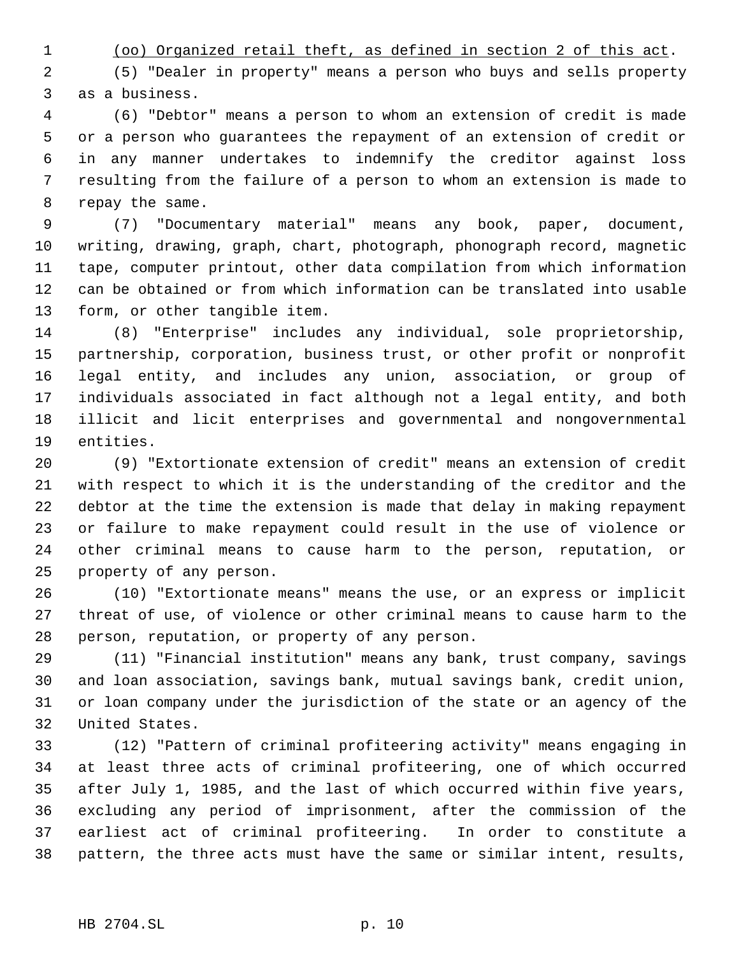(oo) Organized retail theft, as defined in section 2 of this act.

 (5) "Dealer in property" means a person who buys and sells property as a business.

 (6) "Debtor" means a person to whom an extension of credit is made or a person who guarantees the repayment of an extension of credit or in any manner undertakes to indemnify the creditor against loss resulting from the failure of a person to whom an extension is made to repay the same.

 (7) "Documentary material" means any book, paper, document, writing, drawing, graph, chart, photograph, phonograph record, magnetic tape, computer printout, other data compilation from which information can be obtained or from which information can be translated into usable form, or other tangible item.

 (8) "Enterprise" includes any individual, sole proprietorship, partnership, corporation, business trust, or other profit or nonprofit legal entity, and includes any union, association, or group of individuals associated in fact although not a legal entity, and both illicit and licit enterprises and governmental and nongovernmental entities.

 (9) "Extortionate extension of credit" means an extension of credit with respect to which it is the understanding of the creditor and the debtor at the time the extension is made that delay in making repayment or failure to make repayment could result in the use of violence or other criminal means to cause harm to the person, reputation, or property of any person.

 (10) "Extortionate means" means the use, or an express or implicit threat of use, of violence or other criminal means to cause harm to the person, reputation, or property of any person.

 (11) "Financial institution" means any bank, trust company, savings and loan association, savings bank, mutual savings bank, credit union, or loan company under the jurisdiction of the state or an agency of the United States.

 (12) "Pattern of criminal profiteering activity" means engaging in at least three acts of criminal profiteering, one of which occurred after July 1, 1985, and the last of which occurred within five years, excluding any period of imprisonment, after the commission of the earliest act of criminal profiteering. In order to constitute a pattern, the three acts must have the same or similar intent, results,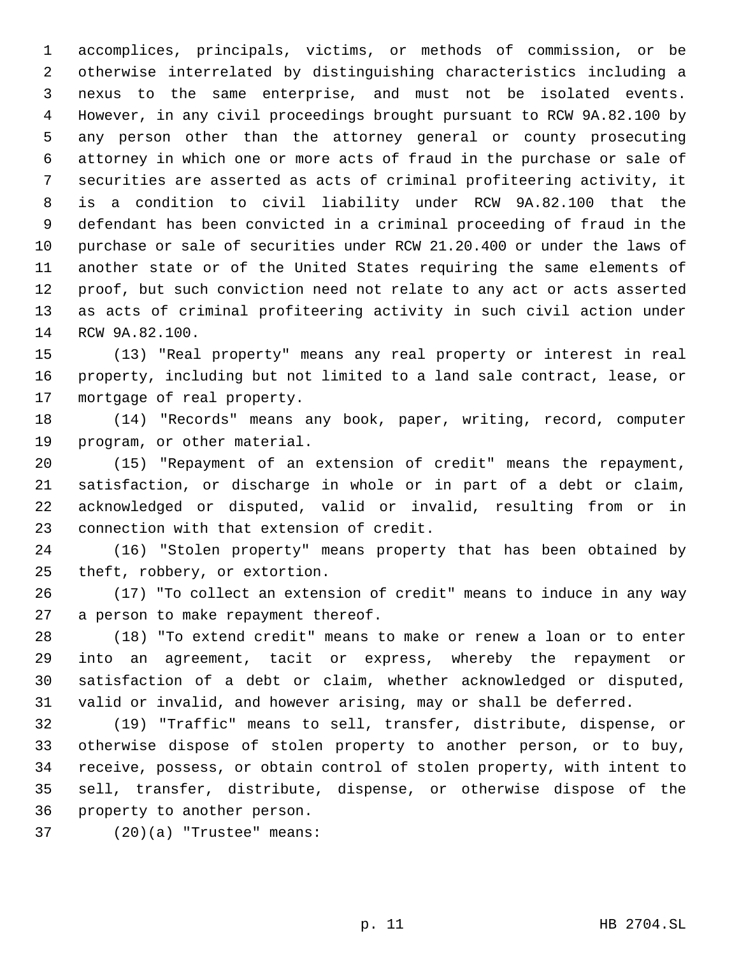accomplices, principals, victims, or methods of commission, or be otherwise interrelated by distinguishing characteristics including a nexus to the same enterprise, and must not be isolated events. However, in any civil proceedings brought pursuant to RCW 9A.82.100 by any person other than the attorney general or county prosecuting attorney in which one or more acts of fraud in the purchase or sale of securities are asserted as acts of criminal profiteering activity, it is a condition to civil liability under RCW 9A.82.100 that the defendant has been convicted in a criminal proceeding of fraud in the purchase or sale of securities under RCW 21.20.400 or under the laws of another state or of the United States requiring the same elements of proof, but such conviction need not relate to any act or acts asserted as acts of criminal profiteering activity in such civil action under RCW 9A.82.100.

 (13) "Real property" means any real property or interest in real property, including but not limited to a land sale contract, lease, or mortgage of real property.

 (14) "Records" means any book, paper, writing, record, computer program, or other material.

 (15) "Repayment of an extension of credit" means the repayment, satisfaction, or discharge in whole or in part of a debt or claim, acknowledged or disputed, valid or invalid, resulting from or in connection with that extension of credit.

 (16) "Stolen property" means property that has been obtained by theft, robbery, or extortion.

 (17) "To collect an extension of credit" means to induce in any way a person to make repayment thereof.

 (18) "To extend credit" means to make or renew a loan or to enter into an agreement, tacit or express, whereby the repayment or satisfaction of a debt or claim, whether acknowledged or disputed, valid or invalid, and however arising, may or shall be deferred.

 (19) "Traffic" means to sell, transfer, distribute, dispense, or otherwise dispose of stolen property to another person, or to buy, receive, possess, or obtain control of stolen property, with intent to sell, transfer, distribute, dispense, or otherwise dispose of the property to another person.

(20)(a) "Trustee" means: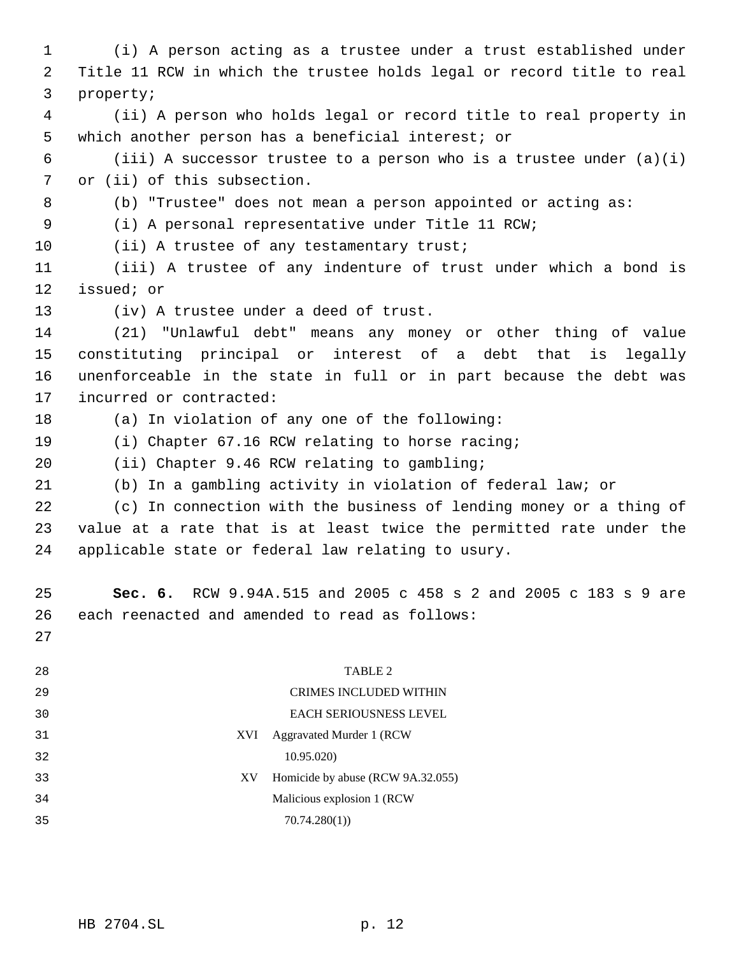(i) A person acting as a trustee under a trust established under Title 11 RCW in which the trustee holds legal or record title to real property; (ii) A person who holds legal or record title to real property in which another person has a beneficial interest; or 6 (iii) A successor trustee to a person who is a trustee under  $(a)(i)$  or (ii) of this subsection. (b) "Trustee" does not mean a person appointed or acting as: (i) A personal representative under Title 11 RCW; 10 (ii) A trustee of any testamentary trust; (iii) A trustee of any indenture of trust under which a bond is issued; or (iv) A trustee under a deed of trust. (21) "Unlawful debt" means any money or other thing of value constituting principal or interest of a debt that is legally unenforceable in the state in full or in part because the debt was incurred or contracted: (a) In violation of any one of the following: (i) Chapter 67.16 RCW relating to horse racing; (ii) Chapter 9.46 RCW relating to gambling; (b) In a gambling activity in violation of federal law; or (c) In connection with the business of lending money or a thing of value at a rate that is at least twice the permitted rate under the applicable state or federal law relating to usury. **Sec. 6.** RCW 9.94A.515 and 2005 c 458 s 2 and 2005 c 183 s 9 are each reenacted and amended to read as follows: TABLE 2 CRIMES INCLUDED WITHIN EACH SERIOUSNESS LEVEL XVI Aggravated Murder 1 (RCW 10.95.020) XV Homicide by abuse (RCW 9A.32.055) Malicious explosion 1 (RCW 70.74.280(1))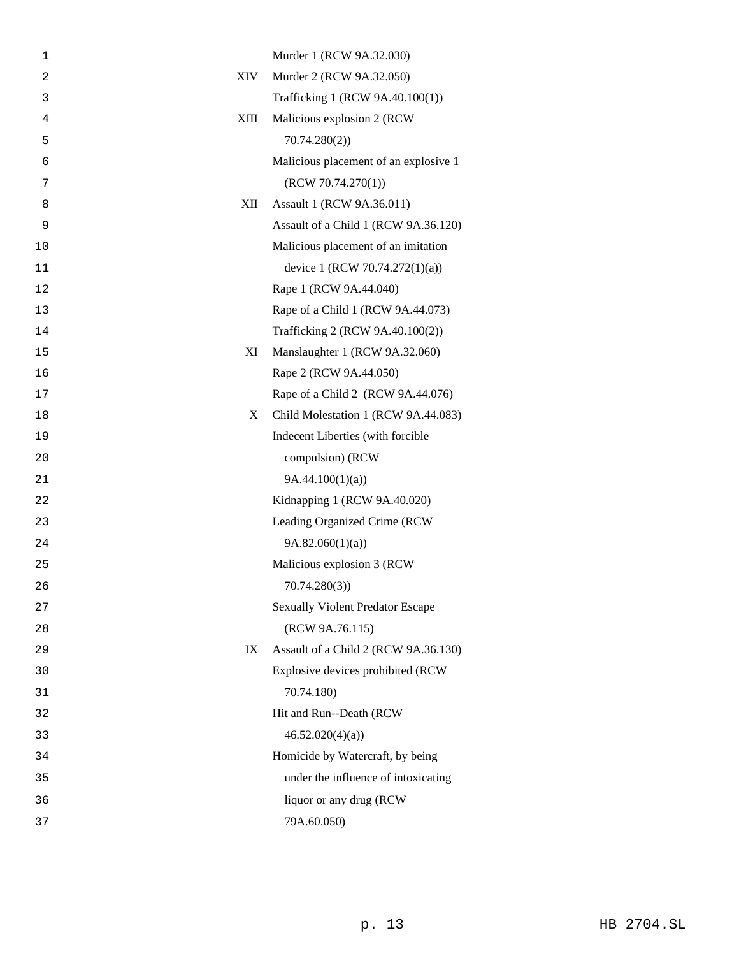| 1          |            | Murder 1 (RCW 9A.32.030)                |
|------------|------------|-----------------------------------------|
| $\sqrt{2}$ | <b>XIV</b> | Murder 2 (RCW 9A.32.050)                |
| 3          |            | Trafficking 1 (RCW 9A.40.100(1))        |
| 4          | XIII       | Malicious explosion 2 (RCW)             |
| 5          |            | 70.74.280(2)                            |
| 6          |            | Malicious placement of an explosive 1   |
| 7          |            | (RCW 70.74.270(1))                      |
| 8          | XII        | Assault 1 (RCW 9A.36.011)               |
| 9          |            | Assault of a Child 1 (RCW 9A.36.120)    |
| 10         |            | Malicious placement of an imitation     |
| 11         |            | device 1 (RCW 70.74.272(1)(a))          |
| 12         |            | Rape 1 (RCW 9A.44.040)                  |
| 13         |            | Rape of a Child 1 (RCW 9A.44.073)       |
| 14         |            | Trafficking 2 (RCW 9A.40.100(2))        |
| 15         | XI         | Manslaughter 1 (RCW 9A.32.060)          |
| 16         |            | Rape 2 (RCW 9A.44.050)                  |
| 17         |            | Rape of a Child 2 (RCW 9A.44.076)       |
| 18         | X          | Child Molestation 1 (RCW 9A.44.083)     |
| 19         |            | Indecent Liberties (with forcible       |
| 20         |            | compulsion) (RCW                        |
| 21         |            | 9A.44.100(1)(a)                         |
| 22         |            | Kidnapping 1 (RCW 9A.40.020)            |
| 23         |            | Leading Organized Crime (RCW            |
| 24         |            | 9A.82.060(1)(a)                         |
| 25         |            | Malicious explosion 3 (RCW              |
| 26         |            | 70.74.280(3)                            |
| 27         |            | <b>Sexually Violent Predator Escape</b> |
| 28         |            | (RCW 9A.76.115)                         |
| 29         | IX         | Assault of a Child 2 (RCW 9A.36.130)    |
| 30         |            | Explosive devices prohibited (RCW       |
| 31         |            | 70.74.180)                              |
| 32         |            | Hit and Run--Death (RCW                 |
| 33         |            | 46.52.020(4)(a)                         |
| 34         |            | Homicide by Watercraft, by being        |
| 35         |            | under the influence of intoxicating     |
| 36         |            | liquor or any drug (RCW                 |
| 37         |            | 79A.60.050)                             |
|            |            |                                         |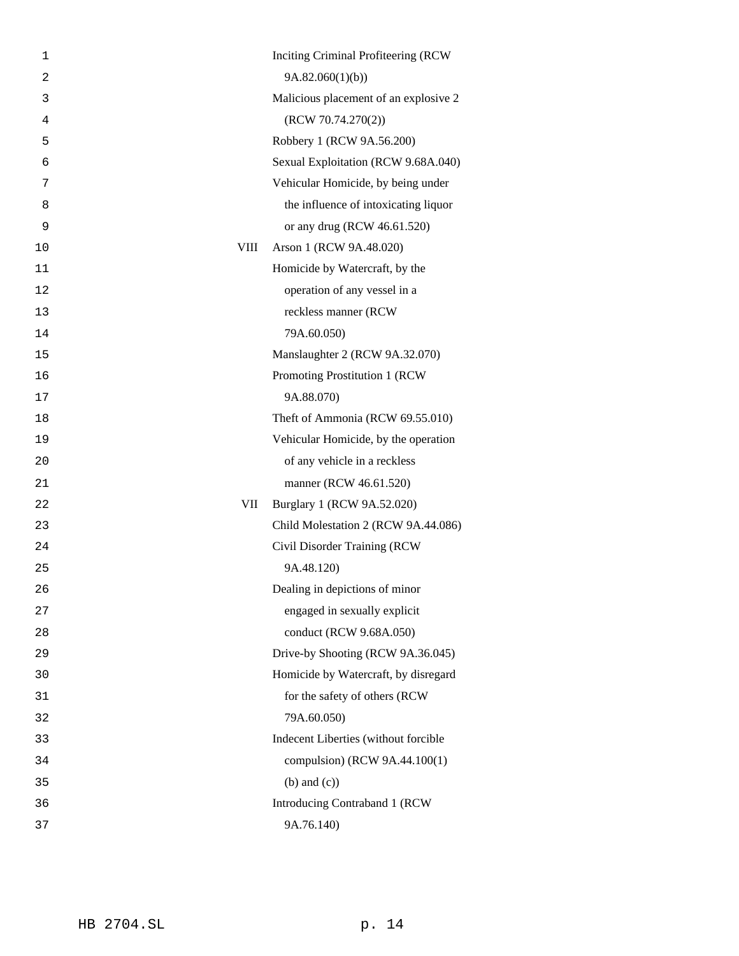| Inciting Criminal Profiteering (RCW)  |
|---------------------------------------|
| 9A.82.060(1)(b)                       |
| Malicious placement of an explosive 2 |
| (RCW 70.74.270(2))                    |
| Robbery 1 (RCW 9A.56.200)             |
| Sexual Exploitation (RCW 9.68A.040)   |
| Vehicular Homicide, by being under    |
| the influence of intoxicating liquor  |
| or any drug (RCW 46.61.520)           |
| VIII<br>Arson 1 (RCW 9A.48.020)       |
| Homicide by Watercraft, by the        |
| operation of any vessel in a          |
| reckless manner (RCW                  |
| 79A.60.050)                           |
| Manslaughter 2 (RCW 9A.32.070)        |
| Promoting Prostitution 1 (RCW         |
| 9A.88.070)                            |
| Theft of Ammonia (RCW 69.55.010)      |
| Vehicular Homicide, by the operation  |
| of any vehicle in a reckless          |
| manner (RCW 46.61.520)                |
| Burglary 1 (RCW 9A.52.020)<br>VII     |
| Child Molestation 2 (RCW 9A.44.086)   |
| Civil Disorder Training (RCW          |
| 9A.48.120)                            |
| Dealing in depictions of minor        |
| engaged in sexually explicit          |
| conduct (RCW 9.68A.050)               |
| Drive-by Shooting (RCW 9A.36.045)     |
| Homicide by Watercraft, by disregard  |
| for the safety of others (RCW         |
| 79A.60.050)                           |
| Indecent Liberties (without forcible  |
| compulsion) (RCW 9A.44.100(1)         |
| $(b)$ and $(c)$ )                     |
| Introducing Contraband 1 (RCW         |
| 9A.76.140)                            |
|                                       |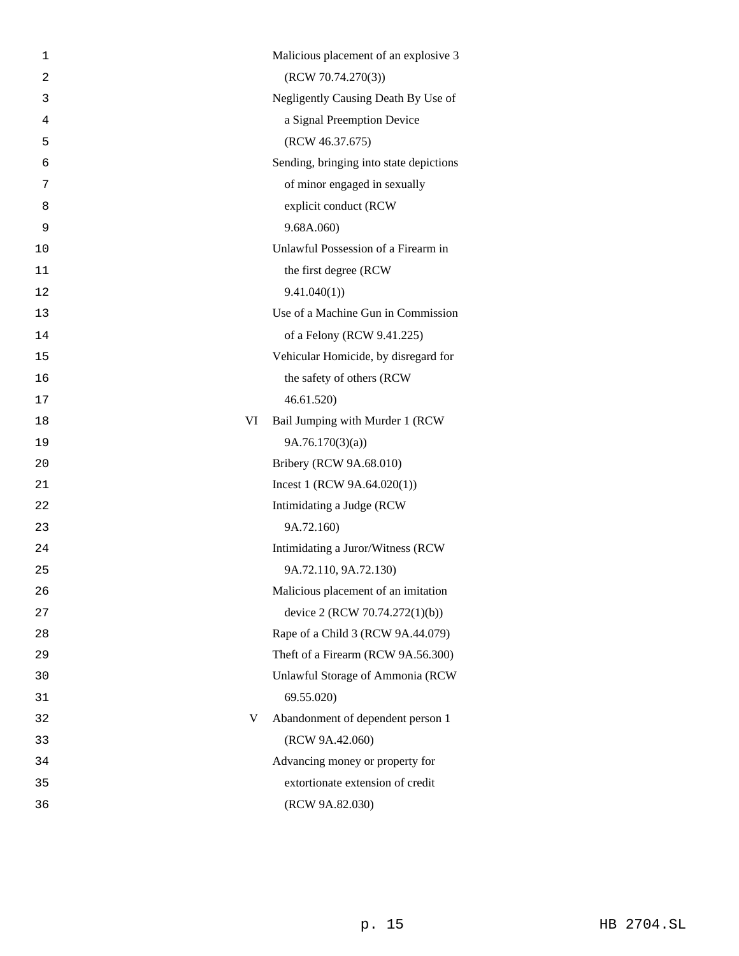| 1              |    | Malicious placement of an explosive 3   |
|----------------|----|-----------------------------------------|
| $\overline{c}$ |    | (RCW 70.74.270(3))                      |
| 3              |    | Negligently Causing Death By Use of     |
| 4              |    | a Signal Preemption Device              |
| 5              |    | (RCW 46.37.675)                         |
| 6              |    | Sending, bringing into state depictions |
| 7              |    | of minor engaged in sexually            |
| 8              |    | explicit conduct (RCW                   |
| 9              |    | 9.68A.060)                              |
| 10             |    | Unlawful Possession of a Firearm in     |
| 11             |    | the first degree (RCW                   |
| 12             |    | 9.41.040(1)                             |
| 13             |    | Use of a Machine Gun in Commission      |
| 14             |    | of a Felony (RCW 9.41.225)              |
| 15             |    | Vehicular Homicide, by disregard for    |
| 16             |    | the safety of others (RCW               |
| 17             |    | 46.61.520)                              |
| 18             | VI | Bail Jumping with Murder 1 (RCW         |
| 19             |    | 9A.76.170(3)(a)                         |
| 20             |    | Bribery (RCW 9A.68.010)                 |
| 21             |    | Incest 1 (RCW $9A.64.020(1)$ )          |
| 22             |    | Intimidating a Judge (RCW               |
| 23             |    | 9A.72.160)                              |
| 24             |    | Intimidating a Juror/Witness (RCW       |
| 25             |    | 9A.72.110, 9A.72.130)                   |
| 26             |    | Malicious placement of an imitation     |
| 27             |    | device 2 (RCW 70.74.272(1)(b))          |
| 28             |    | Rape of a Child 3 (RCW 9A.44.079)       |
| 29             |    | Theft of a Firearm (RCW 9A.56.300)      |
| 30             |    | Unlawful Storage of Ammonia (RCW        |
| 31             |    | 69.55.020)                              |
| 32             | V  | Abandonment of dependent person 1       |
| 33             |    | (RCW 9A.42.060)                         |
| 34             |    | Advancing money or property for         |
| 35             |    | extortionate extension of credit        |
| 36             |    | (RCW 9A.82.030)                         |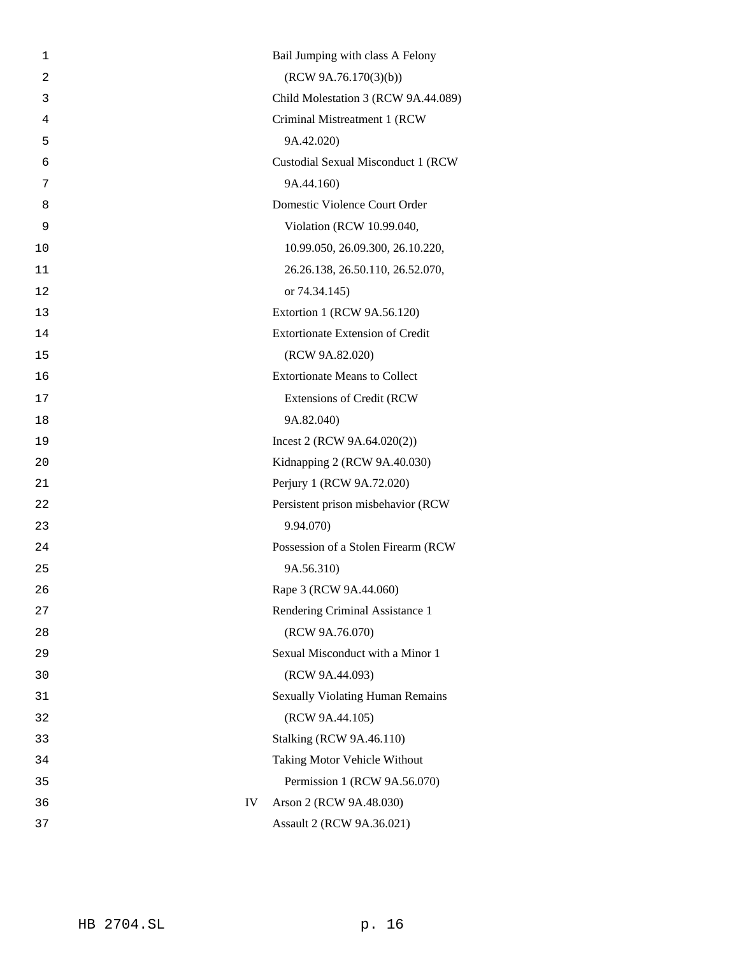| 1              |    | Bail Jumping with class A Felony        |
|----------------|----|-----------------------------------------|
| $\overline{2}$ |    | (RCW 9A.76.170(3)(b))                   |
| 3              |    | Child Molestation 3 (RCW 9A.44.089)     |
| 4              |    | Criminal Mistreatment 1 (RCW            |
| 5              |    | 9A.42.020)                              |
| 6              |    | Custodial Sexual Misconduct 1 (RCW      |
| 7              |    | 9A.44.160)                              |
| 8              |    | Domestic Violence Court Order           |
| 9              |    | Violation (RCW 10.99.040,               |
| 10             |    | 10.99.050, 26.09.300, 26.10.220,        |
| 11             |    | 26.26.138, 26.50.110, 26.52.070,        |
| 12             |    | or 74.34.145)                           |
| 13             |    | Extortion 1 (RCW 9A.56.120)             |
| 14             |    | <b>Extortionate Extension of Credit</b> |
| 15             |    | (RCW 9A.82.020)                         |
| 16             |    | <b>Extortionate Means to Collect</b>    |
| 17             |    | <b>Extensions of Credit (RCW</b>        |
| 18             |    | 9A.82.040)                              |
| 19             |    | Incest 2 (RCW $9A.64.020(2)$ )          |
| 20             |    | Kidnapping 2 (RCW 9A.40.030)            |
| 21             |    | Perjury 1 (RCW 9A.72.020)               |
| 22             |    | Persistent prison misbehavior (RCW      |
| 23             |    | 9.94.070)                               |
| 24             |    | Possession of a Stolen Firearm (RCW)    |
| 25             |    | 9A.56.310)                              |
| 26             |    | Rape 3 (RCW 9A.44.060)                  |
| 27             |    | Rendering Criminal Assistance 1         |
| 28             |    | (RCW 9A.76.070)                         |
| 29             |    | Sexual Misconduct with a Minor 1        |
| 30             |    | (RCW 9A.44.093)                         |
| 31             |    | <b>Sexually Violating Human Remains</b> |
| 32             |    | (RCW 9A.44.105)                         |
| 33             |    | <b>Stalking (RCW 9A.46.110)</b>         |
| 34             |    | Taking Motor Vehicle Without            |
| 35             |    | Permission 1 (RCW 9A.56.070)            |
| 36             | IV | Arson 2 (RCW 9A.48.030)                 |
| 37             |    | Assault 2 (RCW 9A.36.021)               |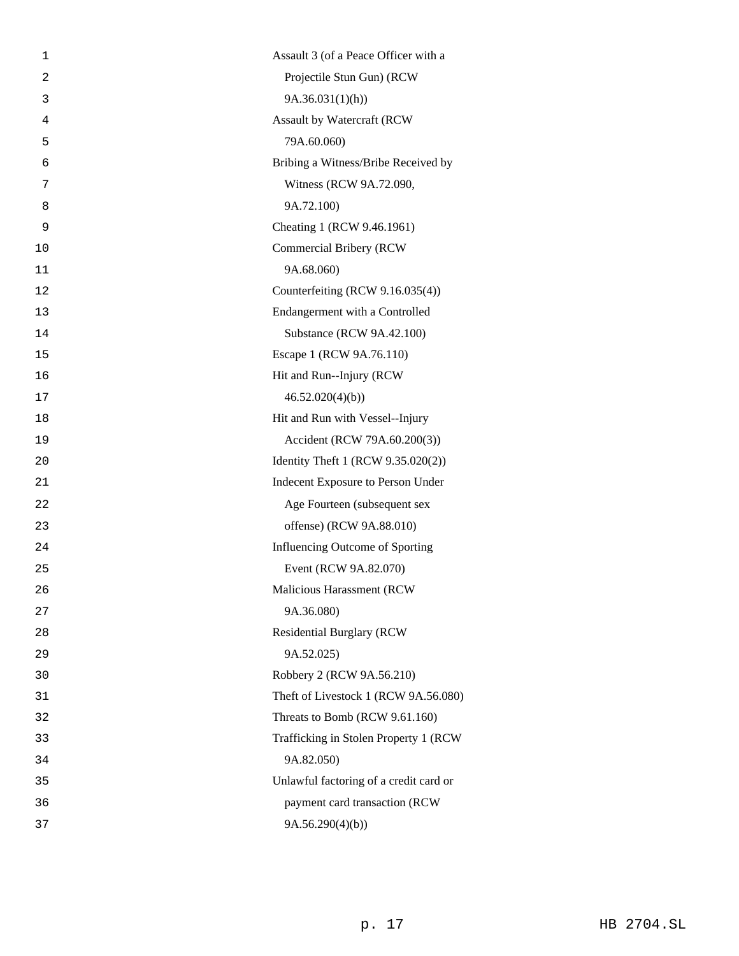| 1              | Assault 3 (of a Peace Officer with a   |
|----------------|----------------------------------------|
| $\overline{a}$ | Projectile Stun Gun) (RCW              |
| 3              | 9A.36.031(1)(h)                        |
| 4              | Assault by Watercraft (RCW             |
| 5              | 79A.60.060)                            |
| 6              | Bribing a Witness/Bribe Received by    |
| 7              | Witness (RCW 9A.72.090,                |
| 8              | 9A.72.100)                             |
| 9              | Cheating 1 (RCW 9.46.1961)             |
| 10             | Commercial Bribery (RCW                |
| 11             | 9A.68.060)                             |
| 12             | Counterfeiting (RCW 9.16.035(4))       |
| 13             | Endangerment with a Controlled         |
| 14             | Substance (RCW 9A.42.100)              |
| 15             | Escape 1 (RCW 9A.76.110)               |
| 16             | Hit and Run--Injury (RCW               |
| 17             | 46.52.020(4)(b)                        |
| 18             | Hit and Run with Vessel--Injury        |
| 19             | Accident (RCW 79A.60.200(3))           |
| 20             | Identity Theft 1 (RCW 9.35.020(2))     |
| 21             | Indecent Exposure to Person Under      |
| 22             | Age Fourteen (subsequent sex           |
| 23             | offense) (RCW 9A.88.010)               |
| 24             | Influencing Outcome of Sporting        |
| 25             | Event (RCW 9A.82.070)                  |
| 26             | Malicious Harassment (RCW              |
| 27             | 9A.36.080)                             |
| 28             | <b>Residential Burglary (RCW</b>       |
| 29             | 9A.52.025)                             |
| 30             | Robbery 2 (RCW 9A.56.210)              |
| 31             | Theft of Livestock 1 (RCW 9A.56.080)   |
| 32             | Threats to Bomb (RCW 9.61.160)         |
| 33             | Trafficking in Stolen Property 1 (RCW  |
| 34             | 9A.82.050)                             |
| 35             | Unlawful factoring of a credit card or |
| 36             | payment card transaction (RCW          |
| 37             | 9A.56.290(4)(b)                        |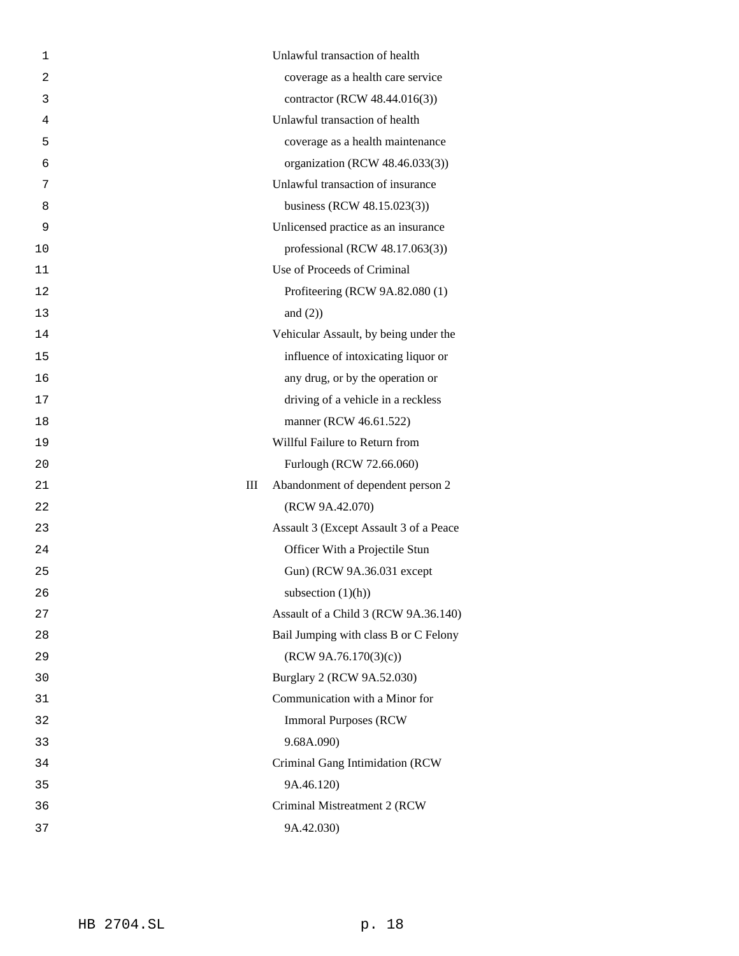| 1              |   | Unlawful transaction of health         |
|----------------|---|----------------------------------------|
| $\overline{2}$ |   | coverage as a health care service      |
| 3              |   | contractor (RCW 48.44.016(3))          |
| 4              |   | Unlawful transaction of health         |
| 5              |   | coverage as a health maintenance       |
| 6              |   | organization (RCW 48.46.033(3))        |
| 7              |   | Unlawful transaction of insurance      |
| 8              |   | business (RCW 48.15.023(3))            |
| 9              |   | Unlicensed practice as an insurance    |
| 10             |   | professional (RCW 48.17.063(3))        |
| 11             |   | Use of Proceeds of Criminal            |
| 12             |   | Profiteering (RCW 9A.82.080 (1)        |
| 13             |   | and $(2)$ )                            |
| 14             |   | Vehicular Assault, by being under the  |
| 15             |   | influence of intoxicating liquor or    |
| 16             |   | any drug, or by the operation or       |
| 17             |   | driving of a vehicle in a reckless     |
| 18             |   | manner (RCW 46.61.522)                 |
| 19             |   | Willful Failure to Return from         |
| 20             |   | Furlough (RCW 72.66.060)               |
| 21             | Ш | Abandonment of dependent person 2      |
| 22             |   | (RCW 9A.42.070)                        |
| 23             |   | Assault 3 (Except Assault 3 of a Peace |
| 24             |   | Officer With a Projectile Stun         |
| 25             |   | Gun) (RCW 9A.36.031 except             |
| 26             |   | subsection $(1)(h)$                    |
| 27             |   | Assault of a Child 3 (RCW 9A.36.140)   |
| 28             |   | Bail Jumping with class B or C Felony  |
| 29             |   | (RCW 9A.76.170(3)(c))                  |
| 30             |   | Burglary 2 (RCW 9A.52.030)             |
| 31             |   | Communication with a Minor for         |
| 32             |   | <b>Immoral Purposes (RCW)</b>          |
| 33             |   | 9.68A.090)                             |
| 34             |   | Criminal Gang Intimidation (RCW        |
| 35             |   | 9A.46.120)                             |
| 36             |   | Criminal Mistreatment 2 (RCW           |
| 37             |   | 9A.42.030)                             |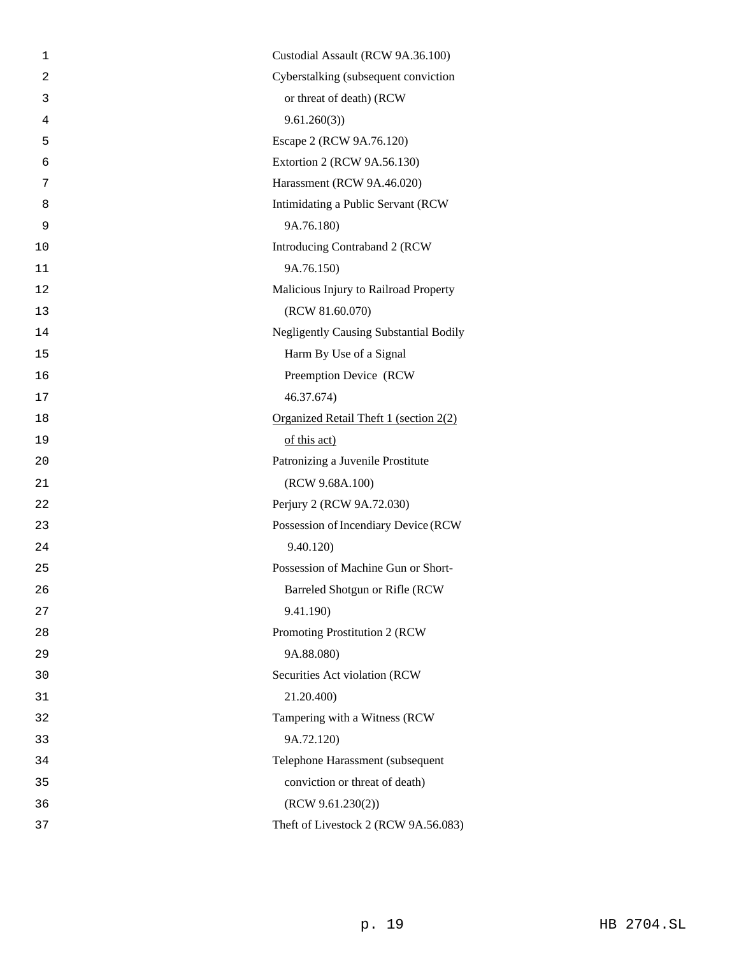|                | Custodial Assault (RCW 9A.36.100)             |
|----------------|-----------------------------------------------|
| 1              |                                               |
| $\overline{a}$ | Cyberstalking (subsequent conviction          |
| 3              | or threat of death) (RCW                      |
| 4              | 9.61.260(3)                                   |
| 5              | Escape 2 (RCW 9A.76.120)                      |
| 6              | Extortion 2 (RCW 9A.56.130)                   |
| 7              | Harassment (RCW 9A.46.020)                    |
| 8              | Intimidating a Public Servant (RCW            |
| 9              | 9A.76.180)                                    |
| 10             | Introducing Contraband 2 (RCW                 |
| 11             | 9A.76.150)                                    |
| 12             | Malicious Injury to Railroad Property         |
| 13             | (RCW 81.60.070)                               |
| 14             | <b>Negligently Causing Substantial Bodily</b> |
| 15             | Harm By Use of a Signal                       |
| 16             | Preemption Device (RCW                        |
| 17             | 46.37.674)                                    |
| 18             | Organized Retail Theft 1 (section 2(2)        |
| 19             | of this act)                                  |
| 20             | Patronizing a Juvenile Prostitute             |
| 21             | (RCW 9.68A.100)                               |
| 22             | Perjury 2 (RCW 9A.72.030)                     |
| 23             | Possession of Incendiary Device (RCW          |
| 24             | 9.40.120)                                     |
| 25             | Possession of Machine Gun or Short-           |
| 26             | Barreled Shotgun or Rifle (RCW                |
| 27             | 9.41.190)                                     |
| 28             | Promoting Prostitution 2 (RCW                 |
| 29             | 9A.88.080)                                    |
| 30             | Securities Act violation (RCW                 |
| 31             | 21.20.400)                                    |
| 32             | Tampering with a Witness (RCW                 |
| 33             | 9A.72.120)                                    |
| 34             | Telephone Harassment (subsequent              |
| 35             | conviction or threat of death)                |
| 36             | (RCW 9.61.230(2))                             |
| 37             | Theft of Livestock 2 (RCW 9A.56.083)          |
|                |                                               |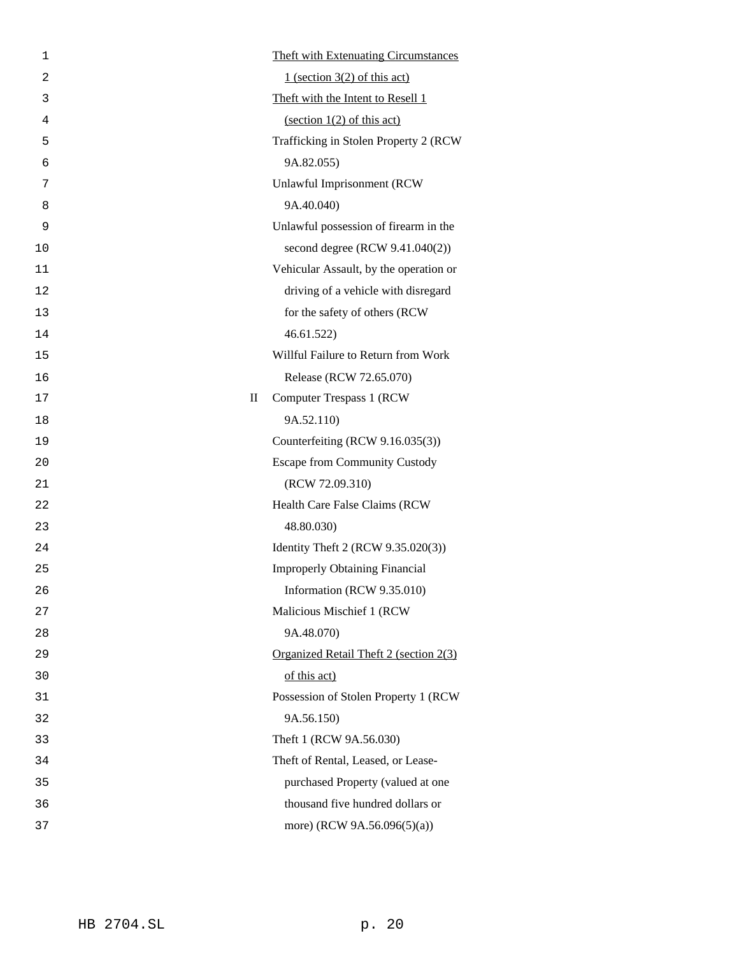| 1              | <b>Theft with Extenuating Circumstances</b> |
|----------------|---------------------------------------------|
| $\overline{2}$ | $1$ (section 3(2) of this act)              |
| 3              | Theft with the Intent to Resell 1           |
| 4              | $\frac{1(2)$ of this act)                   |
| 5              | Trafficking in Stolen Property 2 (RCW)      |
| 6              | 9A.82.055)                                  |
| 7              | Unlawful Imprisonment (RCW                  |
| 8              | 9A.40.040)                                  |
| 9              | Unlawful possession of firearm in the       |
| 10             | second degree (RCW 9.41.040(2))             |
| 11             | Vehicular Assault, by the operation or      |
| 12             | driving of a vehicle with disregard         |
| 13             | for the safety of others (RCW               |
| 14             | 46.61.522                                   |
| 15             | Willful Failure to Return from Work         |
| 16             | Release (RCW 72.65.070)                     |
| 17             | $\mathbf H$<br>Computer Trespass 1 (RCW)    |
| 18             | 9A.52.110)                                  |
| 19             | Counterfeiting (RCW 9.16.035(3))            |
| 20             | <b>Escape from Community Custody</b>        |
| 21             | (RCW 72.09.310)                             |
| 22             | Health Care False Claims (RCW               |
| 23             | 48.80.030)                                  |
| 24             | Identity Theft 2 (RCW 9.35.020(3))          |
| 25             | <b>Improperly Obtaining Financial</b>       |
| 26             | Information (RCW 9.35.010)                  |
| 27             | Malicious Mischief 1 (RCW                   |
| 28             | 9A.48.070)                                  |
| 29             | Organized Retail Theft 2 (section 2(3)      |
| 30             | of this act)                                |
| 31             | Possession of Stolen Property 1 (RCW        |
| 32             | 9A.56.150)                                  |
| 33             | Theft 1 (RCW 9A.56.030)                     |
| 34             | Theft of Rental, Leased, or Lease-          |
| 35             | purchased Property (valued at one           |
| 36             | thousand five hundred dollars or            |
| 37             | more) (RCW 9A.56.096(5)(a))                 |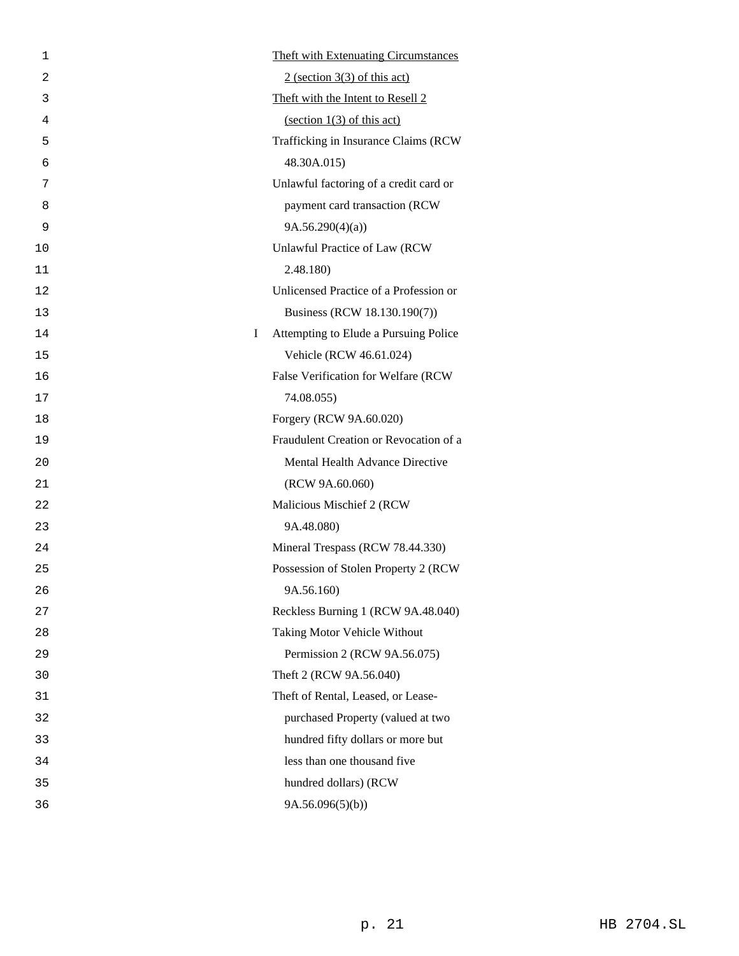| 1       |                 | <b>Theft with Extenuating Circumstances</b> |
|---------|-----------------|---------------------------------------------|
| 2       |                 | $2$ (section 3(3) of this act)              |
| 3       |                 | Theft with the Intent to Resell 2           |
| 4       |                 | $\frac{1(3) \text{ of this act}}{2}$        |
| 5       |                 | Trafficking in Insurance Claims (RCW        |
| 6       | 48.30A.015)     |                                             |
| 7       |                 | Unlawful factoring of a credit card or      |
| 8       |                 | payment card transaction (RCW               |
| 9       | 9A.56.290(4)(a) |                                             |
| 10      |                 | Unlawful Practice of Law (RCW               |
| 11      | 2.48.180)       |                                             |
| 12      |                 | Unlicensed Practice of a Profession or      |
| 13      |                 | Business (RCW 18.130.190(7))                |
| I<br>14 |                 | Attempting to Elude a Pursuing Police       |
| 15      |                 | Vehicle (RCW 46.61.024)                     |
| 16      |                 | False Verification for Welfare (RCW         |
| 17      | 74.08.055)      |                                             |
| 18      |                 | Forgery (RCW 9A.60.020)                     |
| 19      |                 | Fraudulent Creation or Revocation of a      |
| 20      |                 | Mental Health Advance Directive             |
| 21      |                 | (RCW 9A.60.060)                             |
| 22      |                 | Malicious Mischief 2 (RCW                   |
| 23      | 9A.48.080)      |                                             |
| 24      |                 | Mineral Trespass (RCW 78.44.330)            |
| 25      |                 | Possession of Stolen Property 2 (RCW        |
| 26      | 9A.56.160)      |                                             |
| 27      |                 | Reckless Burning 1 (RCW 9A.48.040)          |
| 28      |                 | Taking Motor Vehicle Without                |
| 29      |                 | Permission 2 (RCW 9A.56.075)                |
| 30      |                 | Theft 2 (RCW 9A.56.040)                     |
| 31      |                 | Theft of Rental, Leased, or Lease-          |
| 32      |                 | purchased Property (valued at two           |
| 33      |                 | hundred fifty dollars or more but           |
| 34      |                 | less than one thousand five                 |
| 35      |                 | hundred dollars) (RCW                       |
| 36      | 9A.56.096(5)(b) |                                             |